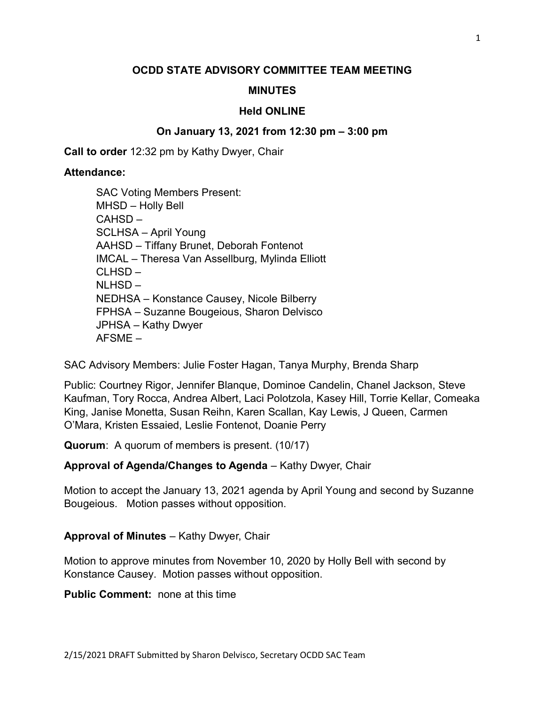## OCDD STATE ADVISORY COMMITTEE TEAM MEETING

### MINUTES

#### Held ONLINE

#### On January 13, 2021 from 12:30 pm – 3:00 pm

Call to order 12:32 pm by Kathy Dwyer, Chair

#### Attendance:

SAC Voting Members Present: MHSD – Holly Bell CAHSD – SCLHSA – April Young AAHSD – Tiffany Brunet, Deborah Fontenot IMCAL – Theresa Van Assellburg, Mylinda Elliott CLHSD – NLHSD – NEDHSA – Konstance Causey, Nicole Bilberry FPHSA – Suzanne Bougeious, Sharon Delvisco JPHSA – Kathy Dwyer AFSME –

SAC Advisory Members: Julie Foster Hagan, Tanya Murphy, Brenda Sharp

Public: Courtney Rigor, Jennifer Blanque, Dominoe Candelin, Chanel Jackson, Steve Kaufman, Tory Rocca, Andrea Albert, Laci Polotzola, Kasey Hill, Torrie Kellar, Comeaka King, Janise Monetta, Susan Reihn, Karen Scallan, Kay Lewis, J Queen, Carmen O'Mara, Kristen Essaied, Leslie Fontenot, Doanie Perry

Quorum: A quorum of members is present. (10/17)

### Approval of Agenda/Changes to Agenda – Kathy Dwyer, Chair

Motion to accept the January 13, 2021 agenda by April Young and second by Suzanne Bougeious. Motion passes without opposition.

### Approval of Minutes – Kathy Dwyer, Chair

Motion to approve minutes from November 10, 2020 by Holly Bell with second by Konstance Causey. Motion passes without opposition.

Public Comment: none at this time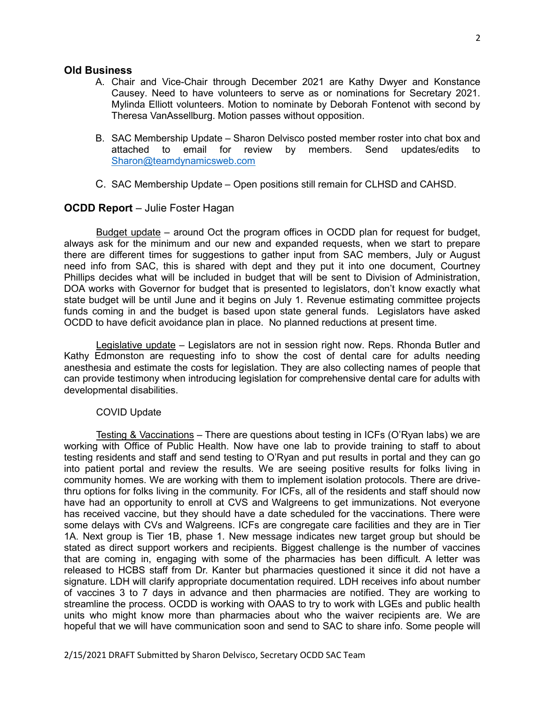#### Old Business

- A. Chair and Vice-Chair through December 2021 are Kathy Dwyer and Konstance Causey. Need to have volunteers to serve as or nominations for Secretary 2021. Mylinda Elliott volunteers. Motion to nominate by Deborah Fontenot with second by Theresa VanAssellburg. Motion passes without opposition.
- B. SAC Membership Update Sharon Delvisco posted member roster into chat box and attached to email for review by members. Send updates/edits to Sharon@teamdynamicsweb.com
- C. SAC Membership Update Open positions still remain for CLHSD and CAHSD.

### OCDD Report – Julie Foster Hagan

 Budget update – around Oct the program offices in OCDD plan for request for budget, always ask for the minimum and our new and expanded requests, when we start to prepare there are different times for suggestions to gather input from SAC members, July or August need info from SAC, this is shared with dept and they put it into one document, Courtney Phillips decides what will be included in budget that will be sent to Division of Administration, DOA works with Governor for budget that is presented to legislators, don't know exactly what state budget will be until June and it begins on July 1. Revenue estimating committee projects funds coming in and the budget is based upon state general funds. Legislators have asked OCDD to have deficit avoidance plan in place. No planned reductions at present time.

 Legislative update – Legislators are not in session right now. Reps. Rhonda Butler and Kathy Edmonston are requesting info to show the cost of dental care for adults needing anesthesia and estimate the costs for legislation. They are also collecting names of people that can provide testimony when introducing legislation for comprehensive dental care for adults with developmental disabilities.

#### COVID Update

Testing & Vaccinations – There are questions about testing in ICFs (O'Ryan labs) we are working with Office of Public Health. Now have one lab to provide training to staff to about testing residents and staff and send testing to O'Ryan and put results in portal and they can go into patient portal and review the results. We are seeing positive results for folks living in community homes. We are working with them to implement isolation protocols. There are drivethru options for folks living in the community. For ICFs, all of the residents and staff should now have had an opportunity to enroll at CVS and Walgreens to get immunizations. Not everyone has received vaccine, but they should have a date scheduled for the vaccinations. There were some delays with CVs and Walgreens. ICFs are congregate care facilities and they are in Tier 1A. Next group is Tier 1B, phase 1. New message indicates new target group but should be stated as direct support workers and recipients. Biggest challenge is the number of vaccines that are coming in, engaging with some of the pharmacies has been difficult. A letter was released to HCBS staff from Dr. Kanter but pharmacies questioned it since it did not have a signature. LDH will clarify appropriate documentation required. LDH receives info about number of vaccines 3 to 7 days in advance and then pharmacies are notified. They are working to streamline the process. OCDD is working with OAAS to try to work with LGEs and public health units who might know more than pharmacies about who the waiver recipients are. We are hopeful that we will have communication soon and send to SAC to share info. Some people will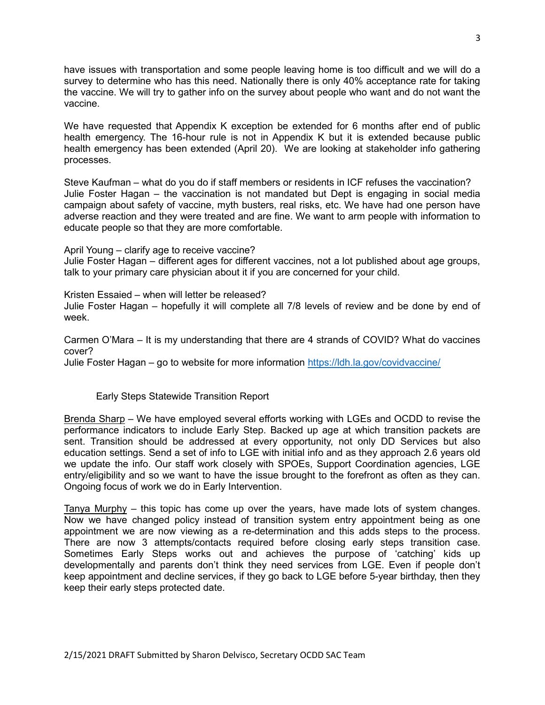have issues with transportation and some people leaving home is too difficult and we will do a survey to determine who has this need. Nationally there is only 40% acceptance rate for taking the vaccine. We will try to gather info on the survey about people who want and do not want the vaccine.

We have requested that Appendix K exception be extended for 6 months after end of public health emergency. The 16-hour rule is not in Appendix K but it is extended because public health emergency has been extended (April 20). We are looking at stakeholder info gathering processes.

Steve Kaufman – what do you do if staff members or residents in ICF refuses the vaccination? Julie Foster Hagan – the vaccination is not mandated but Dept is engaging in social media campaign about safety of vaccine, myth busters, real risks, etc. We have had one person have adverse reaction and they were treated and are fine. We want to arm people with information to educate people so that they are more comfortable.

April Young – clarify age to receive vaccine?

Julie Foster Hagan – different ages for different vaccines, not a lot published about age groups, talk to your primary care physician about it if you are concerned for your child.

Kristen Essaied – when will letter be released?

Julie Foster Hagan – hopefully it will complete all 7/8 levels of review and be done by end of week.

Carmen O'Mara – It is my understanding that there are 4 strands of COVID? What do vaccines cover?

Julie Foster Hagan – go to website for more information https://ldh.la.gov/covidvaccine/

Early Steps Statewide Transition Report

Brenda Sharp – We have employed several efforts working with LGEs and OCDD to revise the performance indicators to include Early Step. Backed up age at which transition packets are sent. Transition should be addressed at every opportunity, not only DD Services but also education settings. Send a set of info to LGE with initial info and as they approach 2.6 years old we update the info. Our staff work closely with SPOEs, Support Coordination agencies, LGE entry/eligibility and so we want to have the issue brought to the forefront as often as they can. Ongoing focus of work we do in Early Intervention.

Tanya Murphy – this topic has come up over the years, have made lots of system changes. Now we have changed policy instead of transition system entry appointment being as one appointment we are now viewing as a re-determination and this adds steps to the process. There are now 3 attempts/contacts required before closing early steps transition case. Sometimes Early Steps works out and achieves the purpose of 'catching' kids up developmentally and parents don't think they need services from LGE. Even if people don't keep appointment and decline services, if they go back to LGE before 5-year birthday, then they keep their early steps protected date.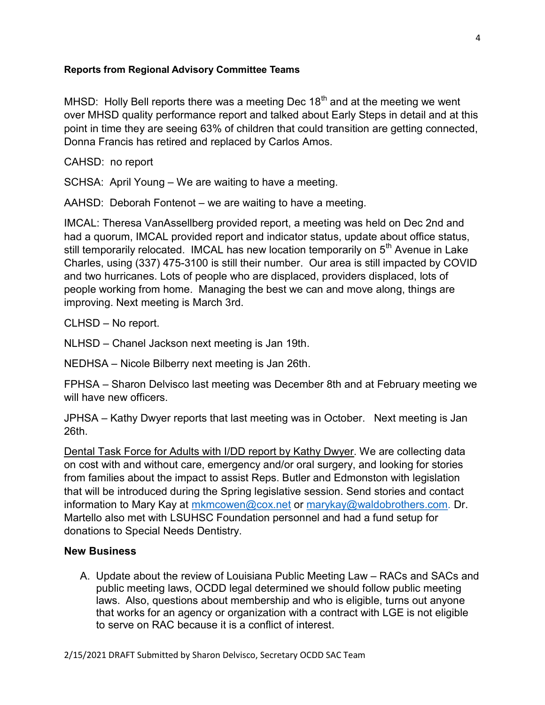### Reports from Regional Advisory Committee Teams

MHSD: Holly Bell reports there was a meeting Dec  $18<sup>th</sup>$  and at the meeting we went over MHSD quality performance report and talked about Early Steps in detail and at this point in time they are seeing 63% of children that could transition are getting connected, Donna Francis has retired and replaced by Carlos Amos.

CAHSD: no report

SCHSA: April Young – We are waiting to have a meeting.

AAHSD: Deborah Fontenot – we are waiting to have a meeting.

IMCAL: Theresa VanAssellberg provided report, a meeting was held on Dec 2nd and had a quorum, IMCAL provided report and indicator status, update about office status, still temporarily relocated. IMCAL has new location temporarily on 5<sup>th</sup> Avenue in Lake Charles, using (337) 475-3100 is still their number. Our area is still impacted by COVID and two hurricanes. Lots of people who are displaced, providers displaced, lots of people working from home. Managing the best we can and move along, things are improving. Next meeting is March 3rd.

CLHSD – No report.

NLHSD – Chanel Jackson next meeting is Jan 19th.

NEDHSA – Nicole Bilberry next meeting is Jan 26th.

FPHSA – Sharon Delvisco last meeting was December 8th and at February meeting we will have new officers.

JPHSA – Kathy Dwyer reports that last meeting was in October. Next meeting is Jan 26th.

Dental Task Force for Adults with I/DD report by Kathy Dwyer. We are collecting data on cost with and without care, emergency and/or oral surgery, and looking for stories from families about the impact to assist Reps. Butler and Edmonston with legislation that will be introduced during the Spring legislative session. Send stories and contact information to Mary Kay at mkmcowen@cox.net or marykay@waldobrothers.com. Dr. Martello also met with LSUHSC Foundation personnel and had a fund setup for donations to Special Needs Dentistry.

## New Business

A. Update about the review of Louisiana Public Meeting Law – RACs and SACs and public meeting laws, OCDD legal determined we should follow public meeting laws. Also, questions about membership and who is eligible, turns out anyone that works for an agency or organization with a contract with LGE is not eligible to serve on RAC because it is a conflict of interest.